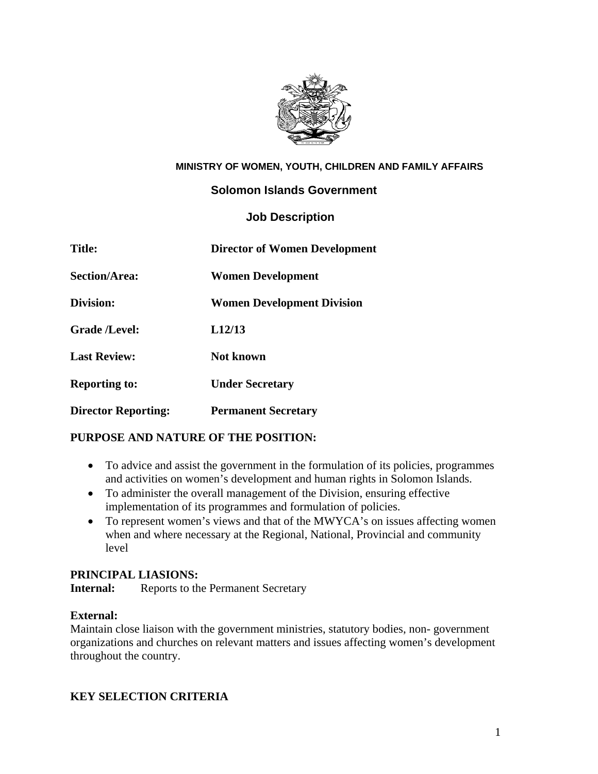

### **MINISTRY OF WOMEN, YOUTH, CHILDREN AND FAMILY AFFAIRS**

## **Solomon Islands Government**

## **Job Description**

| <b>Title:</b>              | <b>Director of Women Development</b> |
|----------------------------|--------------------------------------|
| <b>Section/Area:</b>       | <b>Women Development</b>             |
| Division:                  | <b>Women Development Division</b>    |
| <b>Grade /Level:</b>       | L <sub>12</sub> /13                  |
| <b>Last Review:</b>        | <b>Not known</b>                     |
| <b>Reporting to:</b>       | <b>Under Secretary</b>               |
| <b>Director Reporting:</b> | <b>Permanent Secretary</b>           |

## **PURPOSE AND NATURE OF THE POSITION:**

- To advice and assist the government in the formulation of its policies, programmes and activities on women's development and human rights in Solomon Islands.
- To administer the overall management of the Division, ensuring effective implementation of its programmes and formulation of policies.
- To represent women's views and that of the MWYCA's on issues affecting women when and where necessary at the Regional, National, Provincial and community level

### **PRINCIPAL LIASIONS:**

**Internal:** Reports to the Permanent Secretary

### **External:**

Maintain close liaison with the government ministries, statutory bodies, non- government organizations and churches on relevant matters and issues affecting women's development throughout the country.

# **KEY SELECTION CRITERIA**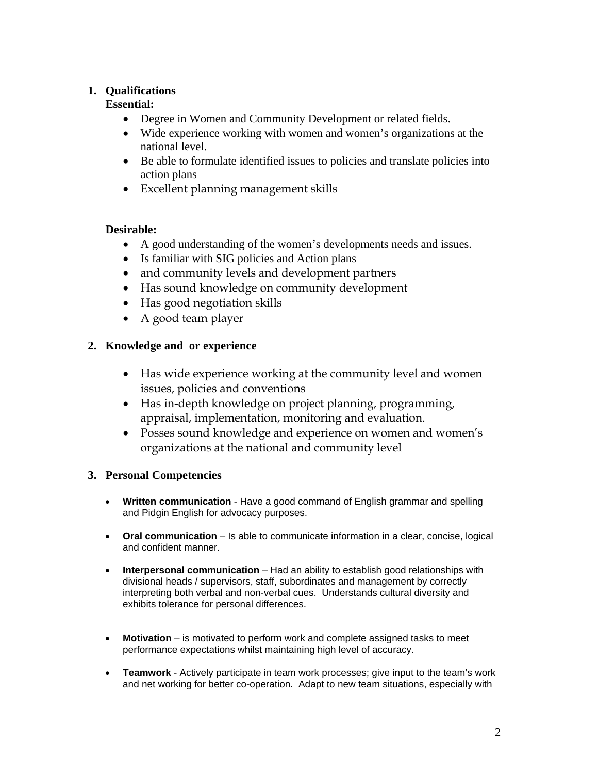## **1. Qualifications**

## **Essential:**

- Degree in Women and Community Development or related fields.
- Wide experience working with women and women's organizations at the national level.
- Be able to formulate identified issues to policies and translate policies into action plans
- Excellent planning management skills

# **Desirable:**

- A good understanding of the women's developments needs and issues.
- Is familiar with SIG policies and Action plans
- and community levels and development partners
- Has sound knowledge on community development
- Has good negotiation skills
- A good team player

# **2. Knowledge and or experience**

- Has wide experience working at the community level and women issues, policies and conventions
- Has in-depth knowledge on project planning, programming, appraisal, implementation, monitoring and evaluation.
- Posses sound knowledge and experience on women and women's organizations at the national and community level

## **3. Personal Competencies**

- **Written communication** Have a good command of English grammar and spelling and Pidgin English for advocacy purposes.
- **Oral communication** Is able to communicate information in a clear, concise, logical and confident manner.
- **Interpersonal communication** Had an ability to establish good relationships with divisional heads / supervisors, staff, subordinates and management by correctly interpreting both verbal and non-verbal cues. Understands cultural diversity and exhibits tolerance for personal differences.
- Motivation is motivated to perform work and complete assigned tasks to meet performance expectations whilst maintaining high level of accuracy.
- **Teamwork** Actively participate in team work processes; give input to the team's work and net working for better co-operation. Adapt to new team situations, especially with